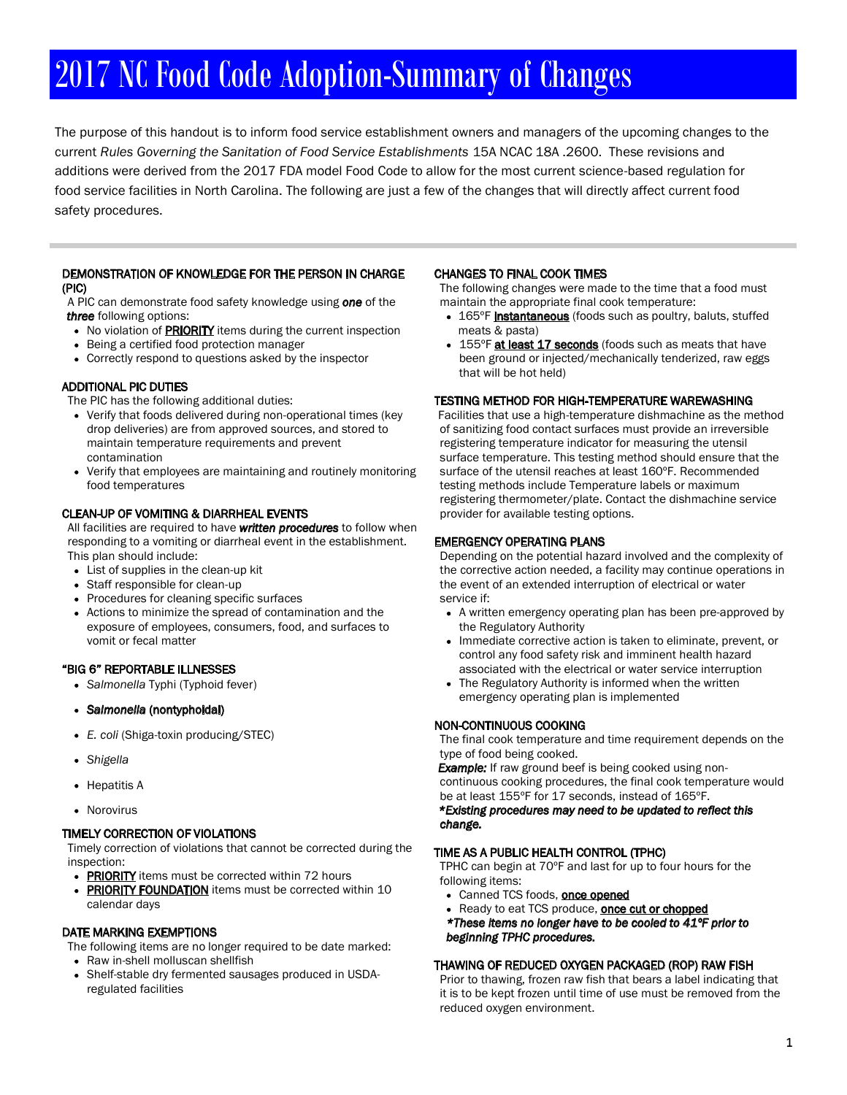# 2017 NC Food Code Adoption-Summary of Changes

The purpose of this handout is to inform food service establishment owners and managers of the upcoming changes to the current Rules Governing the Sanitation of Food Service Establishments 15A NCAC 18A .2600. These revisions and additions were derived from the 2017 FDA model Food Code to allow for the most current science-based regulation for food service facilities in North Carolina. The following are just a few of the changes that will directly affect current food safety procedures.

#### DEMONSTRATION OF KNOWLEDGE FOR THE PERSON IN CHARGE (PIC)

A PIC can demonstrate food safety knowledge using one of the three following options:

- No violation of **PRIORITY** items during the current inspection
- Being a certified food protection manager
- Correctly respond to questions asked by the inspector

## ADDITIONAL PIC DUTIES

The PIC has the following additional duties:

- Verify that foods delivered during non-operational times (key drop deliveries) are from approved sources, and stored to maintain temperature requirements and prevent contamination
- Verify that employees are maintaining and routinely monitoring food temperatures

### CLEAN-UP OF VOMITING & DIARRHEAL EVENTS

All facilities are required to have written procedures to follow when responding to a vomiting or diarrheal event in the establishment. This plan should include:

- List of supplies in the clean-up kit
- Staff responsible for clean-up
- Procedures for cleaning specific surfaces
- Actions to minimize the spread of contamination and the exposure of employees, consumers, food, and surfaces to vomit or fecal matter

## "BIG 6" REPORTABLE ILLNESSES

- Salmonella Typhi (Typhoid fever)
- Salmonella (nontyphoidal)
- E. coli (Shiga-toxin producing/STEC)
- Shigella
- Hepatitis A
- Norovirus

#### TIMELY CORRECTION OF VIOLATIONS

Timely correction of violations that cannot be corrected during the inspection:

- PRIORITY items must be corrected within 72 hours
- PRIORITY FOUNDATION items must be corrected within 10 calendar days

#### DATE MARKING EXEMPTIONS

The following items are no longer required to be date marked:

- Raw in-shell molluscan shellfish
- Shelf-stable dry fermented sausages produced in USDAregulated facilities

#### CHANGES TO FINAL COOK TIMES

The following changes were made to the time that a food must maintain the appropriate final cook temperature:

- 165°F instantaneous (foods such as poultry, baluts, stuffed meats & pasta)
- 155°F at least 17 seconds (foods such as meats that have been ground or injected/mechanically tenderized, raw eggs that will be hot held)

#### TESTING METHOD FOR HIGH-TEMPERATURE WAREWASHING

Facilities that use a high-temperature dishmachine as the method of sanitizing food contact surfaces must provide an irreversible registering temperature indicator for measuring the utensil surface temperature. This testing method should ensure that the surface of the utensil reaches at least 160ºF. Recommended testing methods include Temperature labels or maximum registering thermometer/plate. Contact the dishmachine service provider for available testing options.

#### EMERGENCY OPERATING PLANS

Depending on the potential hazard involved and the complexity of the corrective action needed, a facility may continue operations in the event of an extended interruption of electrical or water service if:

- A written emergency operating plan has been pre-approved by the Regulatory Authority
- Immediate corrective action is taken to eliminate, prevent, or control any food safety risk and imminent health hazard associated with the electrical or water service interruption
- The Regulatory Authority is informed when the written  $\bullet$ emergency operating plan is implemented

## NON-CONTINUOUS COOKING

The final cook temperature and time requirement depends on the type of food being cooked.

**Example:** If raw ground beef is being cooked using noncontinuous cooking procedures, the final cook temperature would be at least 155ºF for 17 seconds, instead of 165ºF.

\*Existing procedures may need to be updated to reflect this change.

#### TIME AS A PUBLIC HEALTH CONTROL (TPHC)

TPHC can begin at 70ºF and last for up to four hours for the following items:

- Canned TCS foods, **once opened**
- Ready to eat TCS produce, once cut or chopped
- \*These items no longer have to be cooled to 41ºF prior to beginning TPHC procedures.

#### THAWING OF REDUCED OXYGEN PACKAGED (ROP) RAW FISH

Prior to thawing, frozen raw fish that bears a label indicating that it is to be kept frozen until time of use must be removed from the reduced oxygen environment.